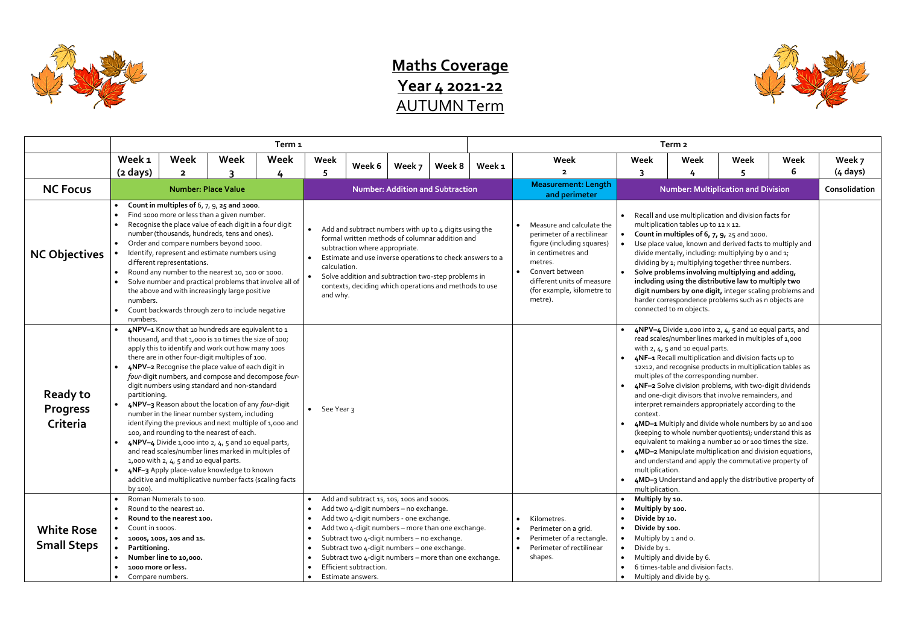

## **Maths Coverage Year 4 2021-22** AUTUMN Term

|                                                | Term <sub>1</sub>                                                                                                                                                                                                                                                                                                                                                                                                                                                                                                                                                                                                                                                                                                                                                                                                                                                                                          |                                                                                                                                                                                   |                            |                                                                                                                                                                                                                                                                                                                                                       |                                         |                                                                                                                                                                                                                                                                              |        |                                                                                                                                                                                                                               |                                                                                                                                                                                                                                                                                                                                                                                                                                                                                                                                                                                                                                                                                                                                                                                                                                                                                                                                          | Term <sub>2</sub>                                                                                       |                                                                            |                                                                                                                                                                                                               |      |      |            |  |
|------------------------------------------------|------------------------------------------------------------------------------------------------------------------------------------------------------------------------------------------------------------------------------------------------------------------------------------------------------------------------------------------------------------------------------------------------------------------------------------------------------------------------------------------------------------------------------------------------------------------------------------------------------------------------------------------------------------------------------------------------------------------------------------------------------------------------------------------------------------------------------------------------------------------------------------------------------------|-----------------------------------------------------------------------------------------------------------------------------------------------------------------------------------|----------------------------|-------------------------------------------------------------------------------------------------------------------------------------------------------------------------------------------------------------------------------------------------------------------------------------------------------------------------------------------------------|-----------------------------------------|------------------------------------------------------------------------------------------------------------------------------------------------------------------------------------------------------------------------------------------------------------------------------|--------|-------------------------------------------------------------------------------------------------------------------------------------------------------------------------------------------------------------------------------|------------------------------------------------------------------------------------------------------------------------------------------------------------------------------------------------------------------------------------------------------------------------------------------------------------------------------------------------------------------------------------------------------------------------------------------------------------------------------------------------------------------------------------------------------------------------------------------------------------------------------------------------------------------------------------------------------------------------------------------------------------------------------------------------------------------------------------------------------------------------------------------------------------------------------------------|---------------------------------------------------------------------------------------------------------|----------------------------------------------------------------------------|---------------------------------------------------------------------------------------------------------------------------------------------------------------------------------------------------------------|------|------|------------|--|
|                                                | Week 1                                                                                                                                                                                                                                                                                                                                                                                                                                                                                                                                                                                                                                                                                                                                                                                                                                                                                                     | Week                                                                                                                                                                              | Week                       | Week                                                                                                                                                                                                                                                                                                                                                  | Week                                    | Week 6                                                                                                                                                                                                                                                                       | Week 7 | Week 8                                                                                                                                                                                                                        | Week 1                                                                                                                                                                                                                                                                                                                                                                                                                                                                                                                                                                                                                                                                                                                                                                                                                                                                                                                                   | Week                                                                                                    | Week                                                                       | Week                                                                                                                                                                                                          | Week | Week | Week 7     |  |
|                                                | $(2 \text{ days})$                                                                                                                                                                                                                                                                                                                                                                                                                                                                                                                                                                                                                                                                                                                                                                                                                                                                                         | $\overline{2}$                                                                                                                                                                    |                            | 4                                                                                                                                                                                                                                                                                                                                                     | 5                                       |                                                                                                                                                                                                                                                                              |        |                                                                                                                                                                                                                               |                                                                                                                                                                                                                                                                                                                                                                                                                                                                                                                                                                                                                                                                                                                                                                                                                                                                                                                                          | $\overline{\mathbf{2}}$                                                                                 |                                                                            |                                                                                                                                                                                                               |      | 6    | $(4$ days) |  |
| <b>NC Focus</b>                                |                                                                                                                                                                                                                                                                                                                                                                                                                                                                                                                                                                                                                                                                                                                                                                                                                                                                                                            |                                                                                                                                                                                   | <b>Number: Place Value</b> |                                                                                                                                                                                                                                                                                                                                                       | <b>Number: Addition and Subtraction</b> |                                                                                                                                                                                                                                                                              |        |                                                                                                                                                                                                                               | <b>Measurement: Length</b><br>and perimeter                                                                                                                                                                                                                                                                                                                                                                                                                                                                                                                                                                                                                                                                                                                                                                                                                                                                                              |                                                                                                         | <b>Number: Multiplication and Division</b><br>Consolidation                |                                                                                                                                                                                                               |      |      |            |  |
| <b>NC Objectives</b>                           | Count in multiples of $6, 7, 9, 25$ and 1000.<br>Find 1000 more or less than a given number.<br>Recognise the place value of each digit in a four digit<br>number (thousands, hundreds, tens and ones).<br>Order and compare numbers beyond 1000.<br>Identify, represent and estimate numbers using<br>different representations.<br>Round any number to the nearest 10, 100 or 1000.<br>Solve number and practical problems that involve all of<br>the above and with increasingly large positive<br>numbers.<br>Count backwards through zero to include negative                                                                                                                                                                                                                                                                                                                                         |                                                                                                                                                                                   |                            | Add and subtract numbers with up to 4 digits using the<br>formal written methods of columnar addition and<br>subtraction where appropriate.<br>Estimate and use inverse operations to check answers to a<br>calculation.<br>Solve addition and subtraction two-step problems in<br>contexts, deciding which operations and methods to use<br>and why. |                                         |                                                                                                                                                                                                                                                                              |        | Measure and calculate the<br>$\bullet$<br>perimeter of a rectilinear<br>figure (including squares)<br>in centimetres and<br>metres.<br>Convert between<br>different units of measure<br>(for example, kilometre to<br>metre). | Recall and use multiplication and division facts for<br>multiplication tables up to 12 x 12.<br>Count in multiples of $6, 7, 9, 25$ and 1000.<br>$\bullet$<br>Use place value, known and derived facts to multiply and<br>divide mentally, including: multiplying by o and 1;<br>dividing by 1; multiplying together three numbers.<br>Solve problems involving multiplying and adding,<br>including using the distributive law to multiply two<br>digit numbers by one digit, integer scaling problems and<br>harder correspondence problems such as n objects are<br>connected to m objects.                                                                                                                                                                                                                                                                                                                                           |                                                                                                         |                                                                            |                                                                                                                                                                                                               |      |      |            |  |
| <b>Ready to</b><br><b>Progress</b><br>Criteria | numbers.<br>4NPV-1 Know that 10 hundreds are equivalent to 1<br>thousand, and that 1,000 is 10 times the size of 100;<br>apply this to identify and work out how many 1005<br>there are in other four-digit multiples of 100.<br>4NPV-2 Recognise the place value of each digit in<br>four-digit numbers, and compose and decompose four-<br>digit numbers using standard and non-standard<br>partitioning.<br>4NPV-3 Reason about the location of any four-digit<br>number in the linear number system, including<br>identifying the previous and next multiple of 1,000 and<br>100, and rounding to the nearest of each.<br>4NPV-4 Divide 1,000 into 2, 4, 5 and 10 equal parts,<br>and read scales/number lines marked in multiples of<br>1,000 with $2, 4, 5$ and 10 equal parts.<br>4NF-3 Apply place-value knowledge to known<br>additive and multiplicative number facts (scaling facts<br>by 100). |                                                                                                                                                                                   |                            | • See Year $3$                                                                                                                                                                                                                                                                                                                                        |                                         |                                                                                                                                                                                                                                                                              |        |                                                                                                                                                                                                                               | 4NPV-4 Divide 1,000 into 2, 4, 5 and 10 equal parts, and<br>read scales/number lines marked in multiples of 1,000<br>with $2, 4, 5$ and 10 equal parts.<br>4NF-1 Recall multiplication and division facts up to<br>12X12, and recognise products in multiplication tables as<br>multiples of the corresponding number.<br>4NF-2 Solve division problems, with two-digit dividends<br>$\bullet$<br>and one-digit divisors that involve remainders, and<br>interpret remainders appropriately according to the<br>context.<br>4MD-1 Multiply and divide whole numbers by 10 and 100<br>(keeping to whole number quotients); understand this as<br>equivalent to making a number 10 or 100 times the size.<br>4MD-2 Manipulate multiplication and division equations,<br>$\bullet$<br>and understand and apply the commutative property of<br>multiplication.<br>4MD-3 Understand and apply the distributive property of<br>multiplication. |                                                                                                         |                                                                            |                                                                                                                                                                                                               |      |      |            |  |
| <b>White Rose</b><br><b>Small Steps</b>        | Count in 1000s.<br>Partitioning.                                                                                                                                                                                                                                                                                                                                                                                                                                                                                                                                                                                                                                                                                                                                                                                                                                                                           | Roman Numerals to 100.<br>Round to the nearest 10.<br>Round to the nearest 100.<br>• 1000s, 100s, 10s and 1s.<br>Number line to 10,000.<br>1000 more or less.<br>Compare numbers. |                            |                                                                                                                                                                                                                                                                                                                                                       |                                         | Add and subtract 1s, 10s, 100s and 1000s.<br>Add two 4-digit numbers - no exchange.<br>Add two 4-digit numbers - one exchange.<br>Subtract two 4-digit numbers - no exchange.<br>Subtract two 4-digit numbers - one exchange.<br>Efficient subtraction.<br>Estimate answers. |        | Add two 4-digit numbers - more than one exchange.<br>Subtract two 4-digit numbers - more than one exchange.                                                                                                                   |                                                                                                                                                                                                                                                                                                                                                                                                                                                                                                                                                                                                                                                                                                                                                                                                                                                                                                                                          | Kilometres.<br>Perimeter on a grid.<br>Perimeter of a rectangle.<br>Perimeter of rectilinear<br>shapes. | $\bullet$<br>$\bullet$<br>$\bullet$<br>$\bullet$<br>$\bullet$<br>$\bullet$ | Multiply by 10.<br>Multiply by 100.<br>Divide by 10.<br>Divide by 100.<br>Multiply by 1 and o.<br>Divide by 1.<br>Multiply and divide by 6.<br>6 times-table and division facts.<br>Multiply and divide by 9. |      |      |            |  |

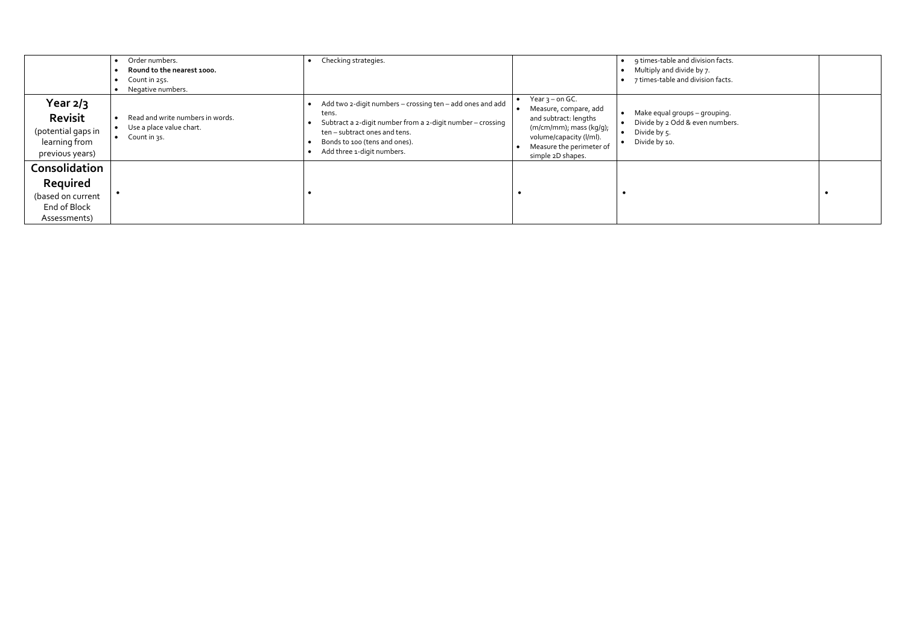|                                                                                        | Order numbers.<br>Round to the nearest 1000.<br>Count in 25s.<br>Negative numbers.        | Checking strategies.                                                                                                                                                                                                                                                                                                                                                                                                   | 9 times-table and division facts.<br>Multiply and divide by 7.<br>7 times-table and division facts.            |  |
|----------------------------------------------------------------------------------------|-------------------------------------------------------------------------------------------|------------------------------------------------------------------------------------------------------------------------------------------------------------------------------------------------------------------------------------------------------------------------------------------------------------------------------------------------------------------------------------------------------------------------|----------------------------------------------------------------------------------------------------------------|--|
| Year $2/3$<br><b>Revisit</b><br>(potential gaps in<br>learning from<br>previous years) | Read and write numbers in words.<br>Use a place value chart.<br>$\bullet$<br>Count in 3s. | • Year $3$ – on GC.<br>Add two 2-digit numbers - crossing ten - add ones and add<br>Measure, compare, add<br>tens.<br>and subtract: lengths<br>Subtract a 2-digit number from a 2-digit number - crossing<br>$(m/cm/mm)$ ; mass $(kg/g)$ ;<br>ten - subtract ones and tens.<br>volume/capacity (l/ml).<br>Bonds to 100 (tens and ones).<br>Measure the perimeter of<br>Add three 1-digit numbers.<br>simple 2D shapes. | Make equal groups - grouping.<br>$\bullet$<br>Divide by 2 Odd & even numbers.<br>Divide by 5.<br>Divide by 10. |  |
| Consolidation                                                                          |                                                                                           |                                                                                                                                                                                                                                                                                                                                                                                                                        |                                                                                                                |  |
| Required                                                                               |                                                                                           |                                                                                                                                                                                                                                                                                                                                                                                                                        |                                                                                                                |  |
| (based on current                                                                      |                                                                                           |                                                                                                                                                                                                                                                                                                                                                                                                                        |                                                                                                                |  |
| End of Block                                                                           |                                                                                           |                                                                                                                                                                                                                                                                                                                                                                                                                        |                                                                                                                |  |
| Assessments)                                                                           |                                                                                           |                                                                                                                                                                                                                                                                                                                                                                                                                        |                                                                                                                |  |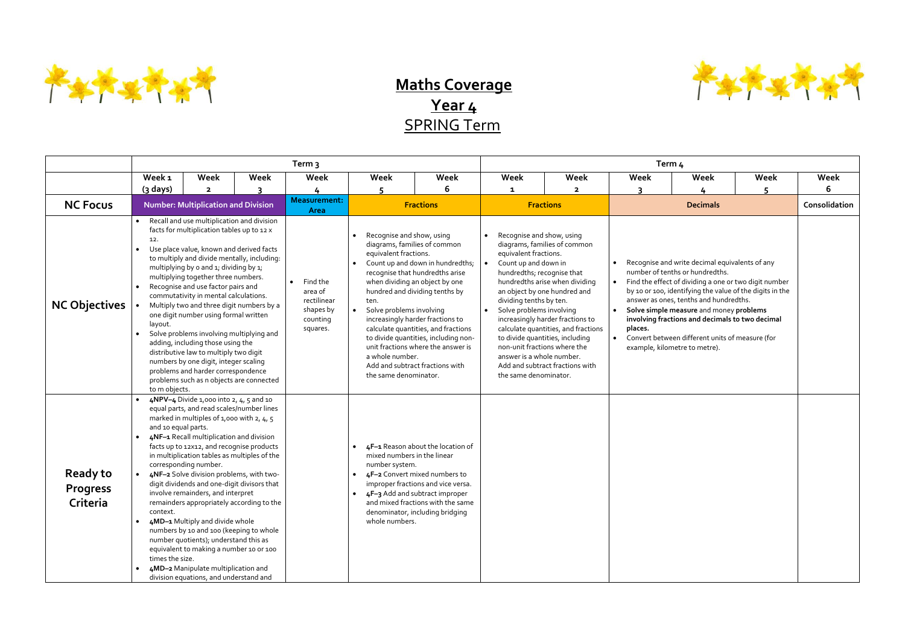

## **Maths Coverage Year 4** SPRING Term

|                                                |                                                                                                                                                                                                                                                                                                                                                                                                                                                                                                                                                                                                                                                                                                                                                 |                                                                                                                                                                                                                                                                                                                                                                                                                                                                                                                                                                                                                                                                                                                                                               |                                                                         | Term <sub>3</sub>                                                                                                                  |                                                                                                                                                                                                                                                                                                                                                                     |                                                                                                                                                                                                                       | Term <sub>4</sub>                                                                                                                                                                                                                                                               |                                                |                                                                                                                                                                                                                                                                                                                                                                                                                                    |                 |      |               |  |
|------------------------------------------------|-------------------------------------------------------------------------------------------------------------------------------------------------------------------------------------------------------------------------------------------------------------------------------------------------------------------------------------------------------------------------------------------------------------------------------------------------------------------------------------------------------------------------------------------------------------------------------------------------------------------------------------------------------------------------------------------------------------------------------------------------|---------------------------------------------------------------------------------------------------------------------------------------------------------------------------------------------------------------------------------------------------------------------------------------------------------------------------------------------------------------------------------------------------------------------------------------------------------------------------------------------------------------------------------------------------------------------------------------------------------------------------------------------------------------------------------------------------------------------------------------------------------------|-------------------------------------------------------------------------|------------------------------------------------------------------------------------------------------------------------------------|---------------------------------------------------------------------------------------------------------------------------------------------------------------------------------------------------------------------------------------------------------------------------------------------------------------------------------------------------------------------|-----------------------------------------------------------------------------------------------------------------------------------------------------------------------------------------------------------------------|---------------------------------------------------------------------------------------------------------------------------------------------------------------------------------------------------------------------------------------------------------------------------------|------------------------------------------------|------------------------------------------------------------------------------------------------------------------------------------------------------------------------------------------------------------------------------------------------------------------------------------------------------------------------------------------------------------------------------------------------------------------------------------|-----------------|------|---------------|--|
|                                                | Week <sub>1</sub>                                                                                                                                                                                                                                                                                                                                                                                                                                                                                                                                                                                                                                                                                                                               | Week                                                                                                                                                                                                                                                                                                                                                                                                                                                                                                                                                                                                                                                                                                                                                          | <b>Week</b>                                                             | Week                                                                                                                               | Week                                                                                                                                                                                                                                                                                                                                                                | Week                                                                                                                                                                                                                  | Week                                                                                                                                                                                                                                                                            | Week                                           | Week                                                                                                                                                                                                                                                                                                                                                                                                                               | Week            | Week | Week          |  |
|                                                | $(3$ days)                                                                                                                                                                                                                                                                                                                                                                                                                                                                                                                                                                                                                                                                                                                                      | $\overline{\mathbf{2}}$                                                                                                                                                                                                                                                                                                                                                                                                                                                                                                                                                                                                                                                                                                                                       |                                                                         |                                                                                                                                    |                                                                                                                                                                                                                                                                                                                                                                     |                                                                                                                                                                                                                       | $\mathbf{1}$                                                                                                                                                                                                                                                                    | $\overline{2}$                                 | २                                                                                                                                                                                                                                                                                                                                                                                                                                  |                 |      | 6             |  |
| <b>NC Focus</b>                                |                                                                                                                                                                                                                                                                                                                                                                                                                                                                                                                                                                                                                                                                                                                                                 | <b>Number: Multiplication and Division</b>                                                                                                                                                                                                                                                                                                                                                                                                                                                                                                                                                                                                                                                                                                                    |                                                                         | <b>Measurement:</b><br>Area                                                                                                        |                                                                                                                                                                                                                                                                                                                                                                     | <b>Fractions</b>                                                                                                                                                                                                      |                                                                                                                                                                                                                                                                                 | <b>Fractions</b>                               |                                                                                                                                                                                                                                                                                                                                                                                                                                    | <b>Decimals</b> |      | Consolidation |  |
| <b>NC Objectives</b>                           | Recall and use multiplication and division<br>$\bullet$<br>facts for multiplication tables up to 12 x<br>12.<br>Use place value, known and derived facts<br>to multiply and divide mentally, including:<br>multiplying by o and 1; dividing by 1;<br>multiplying together three numbers.<br>Recognise and use factor pairs and<br>commutativity in mental calculations.<br>Multiply two and three digit numbers by a<br>one digit number using formal written<br>layout.<br>Solve problems involving multiplying and<br>adding, including those using the<br>distributive law to multiply two digit<br>numbers by one digit, integer scaling<br>problems and harder correspondence<br>problems such as n objects are connected<br>to m objects. |                                                                                                                                                                                                                                                                                                                                                                                                                                                                                                                                                                                                                                                                                                                                                               | Find the<br>area of<br>rectilinear<br>shapes by<br>counting<br>squares. | Recognise and show, using<br>equivalent fractions.<br>ten.<br>Solve problems involving<br>a whole number.<br>the same denominator. | diagrams, families of common<br>Count up and down in hundredths;<br>recognise that hundredths arise<br>when dividing an object by one<br>hundred and dividing tenths by<br>increasingly harder fractions to<br>calculate quantities, and fractions<br>to divide quantities, including non-<br>unit fractions where the answer is<br>Add and subtract fractions with | Recognise and show, using<br>equivalent fractions.<br>Count up and down in<br>hundredths; recognise that<br>dividing tenths by ten.<br>Solve problems involving<br>answer is a whole number.<br>the same denominator. | diagrams, families of common<br>hundredths arise when dividing<br>an object by one hundred and<br>increasingly harder fractions to<br>calculate quantities, and fractions<br>to divide quantities, including<br>non-unit fractions where the<br>Add and subtract fractions with | $\bullet$<br>$\bullet$<br>places.<br>$\bullet$ | Recognise and write decimal equivalents of any<br>number of tenths or hundredths.<br>Find the effect of dividing a one or two digit number<br>by 10 or 100, identifying the value of the digits in the<br>answer as ones, tenths and hundredths.<br>Solve simple measure and money problems<br>involving fractions and decimals to two decimal<br>Convert between different units of measure (for<br>example, kilometre to metre). |                 |      |               |  |
| <b>Ready to</b><br><b>Progress</b><br>Criteria | context.<br>times the size.                                                                                                                                                                                                                                                                                                                                                                                                                                                                                                                                                                                                                                                                                                                     | 4NPV-4 Divide 1,000 into 2, $4$ , 5 and 10<br>equal parts, and read scales/number lines<br>marked in multiples of 1,000 with 2, 4, 5<br>and 10 equal parts.<br>4NF-1 Recall multiplication and division<br>facts up to 12x12, and recognise products<br>in multiplication tables as multiples of the<br>corresponding number.<br>4NF-2 Solve division problems, with two-<br>digit dividends and one-digit divisors that<br>involve remainders, and interpret<br>remainders appropriately according to the<br>4MD-1 Multiply and divide whole<br>numbers by 10 and 100 (keeping to whole<br>number quotients); understand this as<br>equivalent to making a number 10 or 100<br>4MD-2 Manipulate multiplication and<br>division equations, and understand and |                                                                         |                                                                                                                                    | mixed numbers in the linear<br>number system.<br>$\bullet$<br>whole numbers.                                                                                                                                                                                                                                                                                        | 4F-1 Reason about the location of<br>4F-2 Convert mixed numbers to<br>improper fractions and vice versa.<br>4F-3 Add and subtract improper<br>and mixed fractions with the same<br>denominator, including bridging    |                                                                                                                                                                                                                                                                                 |                                                |                                                                                                                                                                                                                                                                                                                                                                                                                                    |                 |      |               |  |

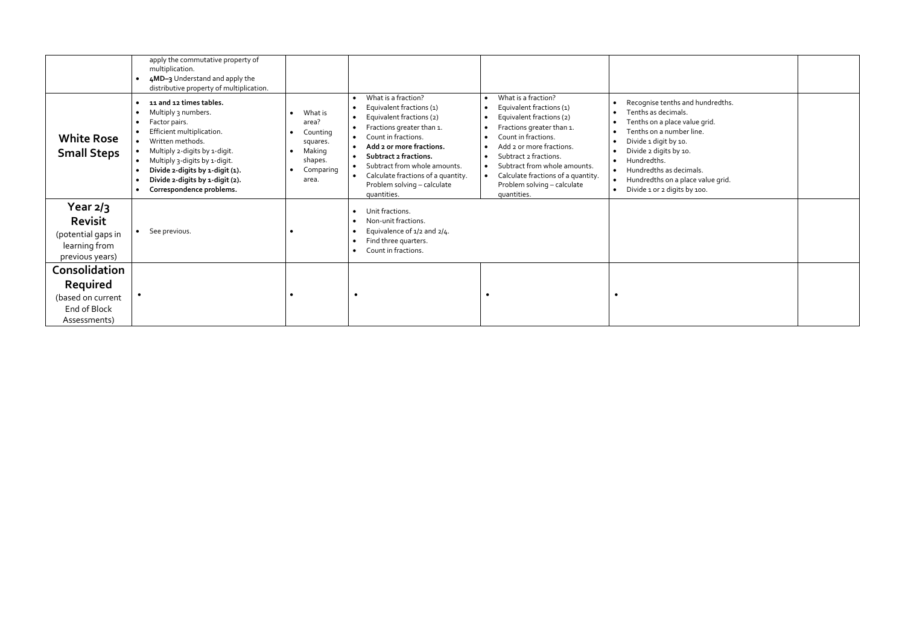| <b>White Rose</b><br><b>Small Steps</b>                                  | apply the commutative property of<br>multiplication.<br>4MD-3 Understand and apply the<br>distributive property of multiplication.<br>11 and 12 times tables.<br>Multiply 3 numbers.<br>Factor pairs.<br>$\bullet$<br>Efficient multiplication.<br>Written methods.<br>Multiply 2-digits by 1-digit.<br>$\bullet$<br>Multiply 3-digits by 1-digit.<br>Divide 2-digits by 1-digit (1).<br>Divide 2-digits by 1-digit (2). | What is<br>area?<br>Counting<br>$\bullet$<br>squares.<br>Making<br>shapes.<br>Comparing<br>$\bullet$<br>area. | What is a fraction?<br>Equivalent fractions (1)<br>Equivalent fractions (2)<br>Fractions greater than 1.<br>Count in fractions.<br>$\bullet$<br>Add 2 or more fractions.<br>Subtract 2 fractions.<br>Subtract from whole amounts.<br>Calculate fractions of a quantity. | What is a fraction?<br>Equivalent fractions (1)<br>Equivalent fractions (2)<br>$\bullet$<br>Fractions greater than 1.<br>Count in fractions.<br>$\bullet$<br>Add 2 or more fractions.<br>Subtract 2 fractions.<br>Subtract from whole amounts.<br>$\bullet$<br>Calculate fractions of a quantity. | Recognise tenths and hundredths.<br>Tenths as decimals.<br>$\bullet$<br>Tenths on a place value grid.<br>٠<br>Tenths on a number line.<br>Divide 1 digit by 10.<br>Divide 2 digits by 10.<br>٠<br>Hundredths.<br>Hundredths as decimals.<br>$\bullet$<br>Hundredths on a place value grid.<br>$\bullet$ |  |  |
|--------------------------------------------------------------------------|--------------------------------------------------------------------------------------------------------------------------------------------------------------------------------------------------------------------------------------------------------------------------------------------------------------------------------------------------------------------------------------------------------------------------|---------------------------------------------------------------------------------------------------------------|-------------------------------------------------------------------------------------------------------------------------------------------------------------------------------------------------------------------------------------------------------------------------|---------------------------------------------------------------------------------------------------------------------------------------------------------------------------------------------------------------------------------------------------------------------------------------------------|---------------------------------------------------------------------------------------------------------------------------------------------------------------------------------------------------------------------------------------------------------------------------------------------------------|--|--|
|                                                                          | Correspondence problems.<br>$\bullet$                                                                                                                                                                                                                                                                                                                                                                                    |                                                                                                               | Problem solving - calculate<br>quantities.                                                                                                                                                                                                                              | Problem solving - calculate<br>quantities.                                                                                                                                                                                                                                                        | Divide 1 or 2 digits by 100.<br>$\bullet$                                                                                                                                                                                                                                                               |  |  |
| Year $2/3$                                                               |                                                                                                                                                                                                                                                                                                                                                                                                                          |                                                                                                               | Unit fractions.                                                                                                                                                                                                                                                         |                                                                                                                                                                                                                                                                                                   |                                                                                                                                                                                                                                                                                                         |  |  |
| <b>Revisit</b><br>(potential gaps in<br>learning from<br>previous years) | See previous.<br>$\bullet$                                                                                                                                                                                                                                                                                                                                                                                               | $\bullet$                                                                                                     | Non-unit fractions.<br>Equivalence of 1/2 and 2/4.<br>Find three quarters.<br>Count in fractions.                                                                                                                                                                       |                                                                                                                                                                                                                                                                                                   |                                                                                                                                                                                                                                                                                                         |  |  |
| Consolidation                                                            |                                                                                                                                                                                                                                                                                                                                                                                                                          |                                                                                                               |                                                                                                                                                                                                                                                                         |                                                                                                                                                                                                                                                                                                   |                                                                                                                                                                                                                                                                                                         |  |  |
| Required                                                                 |                                                                                                                                                                                                                                                                                                                                                                                                                          |                                                                                                               |                                                                                                                                                                                                                                                                         |                                                                                                                                                                                                                                                                                                   |                                                                                                                                                                                                                                                                                                         |  |  |
| (based on current                                                        |                                                                                                                                                                                                                                                                                                                                                                                                                          | $\bullet$                                                                                                     |                                                                                                                                                                                                                                                                         | $\bullet$                                                                                                                                                                                                                                                                                         | $\bullet$                                                                                                                                                                                                                                                                                               |  |  |
| End of Block<br>Assessments)                                             |                                                                                                                                                                                                                                                                                                                                                                                                                          |                                                                                                               |                                                                                                                                                                                                                                                                         |                                                                                                                                                                                                                                                                                                   |                                                                                                                                                                                                                                                                                                         |  |  |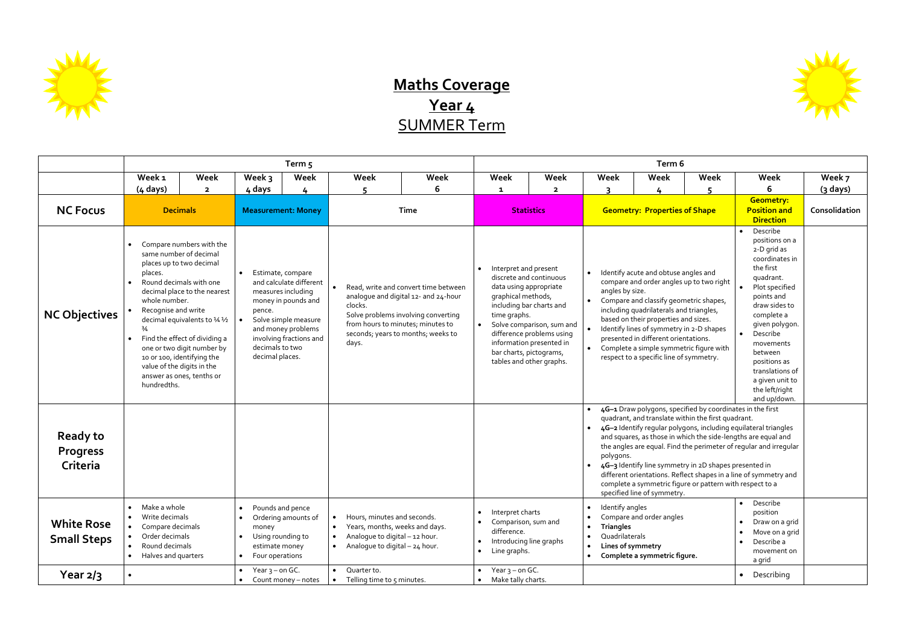

## **Maths Coverage Year 4** SUMMER Term

|                                                                                           | Term <sub>5</sub>                                                                                                                                                                                 |                                                                                                                                                                                                                                                                                                                                     |                                                                                                                                                                                                                                 |                                                                                                              |                                                                                            |                                                                                                                                                                                                |                                                                                     | Term 6                                                                                                                                                                                                                                                                    |                                                                                                                                                                                                                                                                                                                                                                                                                                                                                                                                                                                                               |                                                                                                                                                                                                                                                                                                                                                                                                                                                                                                                                                                                                                                                                                                                  |                                                                                               |                                                   |            |  |
|-------------------------------------------------------------------------------------------|---------------------------------------------------------------------------------------------------------------------------------------------------------------------------------------------------|-------------------------------------------------------------------------------------------------------------------------------------------------------------------------------------------------------------------------------------------------------------------------------------------------------------------------------------|---------------------------------------------------------------------------------------------------------------------------------------------------------------------------------------------------------------------------------|--------------------------------------------------------------------------------------------------------------|--------------------------------------------------------------------------------------------|------------------------------------------------------------------------------------------------------------------------------------------------------------------------------------------------|-------------------------------------------------------------------------------------|---------------------------------------------------------------------------------------------------------------------------------------------------------------------------------------------------------------------------------------------------------------------------|---------------------------------------------------------------------------------------------------------------------------------------------------------------------------------------------------------------------------------------------------------------------------------------------------------------------------------------------------------------------------------------------------------------------------------------------------------------------------------------------------------------------------------------------------------------------------------------------------------------|------------------------------------------------------------------------------------------------------------------------------------------------------------------------------------------------------------------------------------------------------------------------------------------------------------------------------------------------------------------------------------------------------------------------------------------------------------------------------------------------------------------------------------------------------------------------------------------------------------------------------------------------------------------------------------------------------------------|-----------------------------------------------------------------------------------------------|---------------------------------------------------|------------|--|
|                                                                                           | Week 1                                                                                                                                                                                            | Week                                                                                                                                                                                                                                                                                                                                | Week 3                                                                                                                                                                                                                          | Week                                                                                                         | Week                                                                                       | Week                                                                                                                                                                                           | Week                                                                                | <b>Week</b>                                                                                                                                                                                                                                                               | Week                                                                                                                                                                                                                                                                                                                                                                                                                                                                                                                                                                                                          | Week                                                                                                                                                                                                                                                                                                                                                                                                                                                                                                                                                                                                                                                                                                             | Week                                                                                          | Week                                              | Week 7     |  |
|                                                                                           | $(4 \text{ days})$                                                                                                                                                                                | $\overline{\mathbf{2}}$                                                                                                                                                                                                                                                                                                             | 4 days                                                                                                                                                                                                                          | 4                                                                                                            | 5                                                                                          | 6                                                                                                                                                                                              | $\mathbf{1}$                                                                        | $\overline{\mathbf{2}}$                                                                                                                                                                                                                                                   | ∍                                                                                                                                                                                                                                                                                                                                                                                                                                                                                                                                                                                                             |                                                                                                                                                                                                                                                                                                                                                                                                                                                                                                                                                                                                                                                                                                                  |                                                                                               | 6.                                                | $(3$ days) |  |
| <b>NC Focus</b>                                                                           | <b>Decimals</b><br><b>Measurement: Money</b>                                                                                                                                                      |                                                                                                                                                                                                                                                                                                                                     |                                                                                                                                                                                                                                 | <b>Time</b>                                                                                                  |                                                                                            | <b>Statistics</b>                                                                                                                                                                              |                                                                                     | <b>Geometry: Properties of Shape</b>                                                                                                                                                                                                                                      |                                                                                                                                                                                                                                                                                                                                                                                                                                                                                                                                                                                                               | <b>Geometry:</b><br><b>Position and</b><br><b>Direction</b>                                                                                                                                                                                                                                                                                                                                                                                                                                                                                                                                                                                                                                                      | Consolidation                                                                                 |                                                   |            |  |
| <b>NC Objectives</b>                                                                      | places.<br>whole number.<br>Recognise and write<br>$\frac{3}{4}$<br>hundredths.                                                                                                                   | Compare numbers with the<br>same number of decimal<br>places up to two decimal<br>Round decimals with one<br>decimal place to the nearest<br>decimal equivalents to 1/4 1/2<br>Find the effect of dividing a<br>one or two digit number by<br>10 or 100, identifying the<br>value of the digits in the<br>answer as ones, tenths or | Estimate, compare<br>$\bullet$<br>and calculate different<br>measures including<br>money in pounds and<br>pence.<br>Solve simple measure<br>and money problems<br>involving fractions and<br>decimals to two<br>decimal places. |                                                                                                              | clocks.<br>days.                                                                           | Read, write and convert time between<br>analogue and digital 12- and 24-hour<br>Solve problems involving converting<br>from hours to minutes; minutes to<br>seconds; years to months; weeks to | time graphs.                                                                        | Interpret and present<br>discrete and continuous<br>data using appropriate<br>graphical methods,<br>including bar charts and<br>Solve comparison, sum and<br>difference problems using<br>information presented in<br>bar charts, pictograms,<br>tables and other graphs. |                                                                                                                                                                                                                                                                                                                                                                                                                                                                                                                                                                                                               | Describe<br>positions on a<br>2-D grid as<br>coordinates in<br>the first<br>Identify acute and obtuse angles and<br>quadrant.<br>compare and order angles up to two right<br>Plot specified<br>angles by size.<br>points and<br>Compare and classify geometric shapes,<br>draw sides to<br>including quadrilaterals and triangles,<br>complete a<br>based on their properties and sizes.<br>given polygon.<br>Identify lines of symmetry in 2-D shapes<br>Describe<br>presented in different orientations.<br>movements<br>Complete a simple symmetric figure with<br>between<br>respect to a specific line of symmetry.<br>positions as<br>translations of<br>a given unit to<br>the left/right<br>and up/down. |                                                                                               |                                                   |            |  |
| <b>Ready to</b><br><b>Progress</b><br>Criteria<br><b>White Rose</b><br><b>Small Steps</b> | Make a whole<br>Pounds and pence<br>$\bullet$<br>$\bullet$<br>Write decimals<br>Ordering amounts of<br>$\bullet$<br>Compare decimals<br>money<br>Order decimals<br>Using rounding to<br>$\bullet$ |                                                                                                                                                                                                                                                                                                                                     |                                                                                                                                                                                                                                 | Hours, minutes and seconds.<br>Years, months, weeks and days.<br>$\bullet$<br>Analoque to digital - 12 hour. |                                                                                            |                                                                                                                                                                                                | Interpret charts<br>Comparison, sum and<br>difference.                              |                                                                                                                                                                                                                                                                           | quadrant, and translate within the first quadrant.<br>4G-2 Identify regular polygons, including equilateral triangles<br>and squares, as those in which the side-lengths are equal and<br>the angles are equal. Find the perimeter of regular and irregular<br>polygons.<br>4G-3 Identify line symmetry in 2D shapes presented in<br>different orientations. Reflect shapes in a line of symmetry and<br>complete a symmetric figure or pattern with respect to a<br>specified line of symmetry.<br>Describe<br>Identify angles<br>position<br>Compare and order angles<br><b>Triangles</b><br>Quadrilaterals |                                                                                                                                                                                                                                                                                                                                                                                                                                                                                                                                                                                                                                                                                                                  | 4G-1 Draw polygons, specified by coordinates in the first<br>Draw on a grid<br>Move on a grid |                                                   |            |  |
| Year $2/3$                                                                                | Round decimals<br>Halves and quarters<br>$\bullet$<br>$\bullet$                                                                                                                                   |                                                                                                                                                                                                                                                                                                                                     | estimate money<br>Four operations<br>$\bullet$<br>• Year $3$ – on GC.                                                                                                                                                           | Count money - notes                                                                                          | Analogue to digital - 24 hour.<br>$\bullet$<br>Quarter to.<br>• Telling time to 5 minutes. |                                                                                                                                                                                                | $\bullet$<br>$\bullet$<br>Line graphs.<br>Year $3$ – on GC.<br>• Make tally charts. | Introducing line graphs                                                                                                                                                                                                                                                   | Lines of symmetry                                                                                                                                                                                                                                                                                                                                                                                                                                                                                                                                                                                             | Complete a symmetric figure.                                                                                                                                                                                                                                                                                                                                                                                                                                                                                                                                                                                                                                                                                     |                                                                                               | Describe a<br>movement on<br>a grid<br>Describing |            |  |